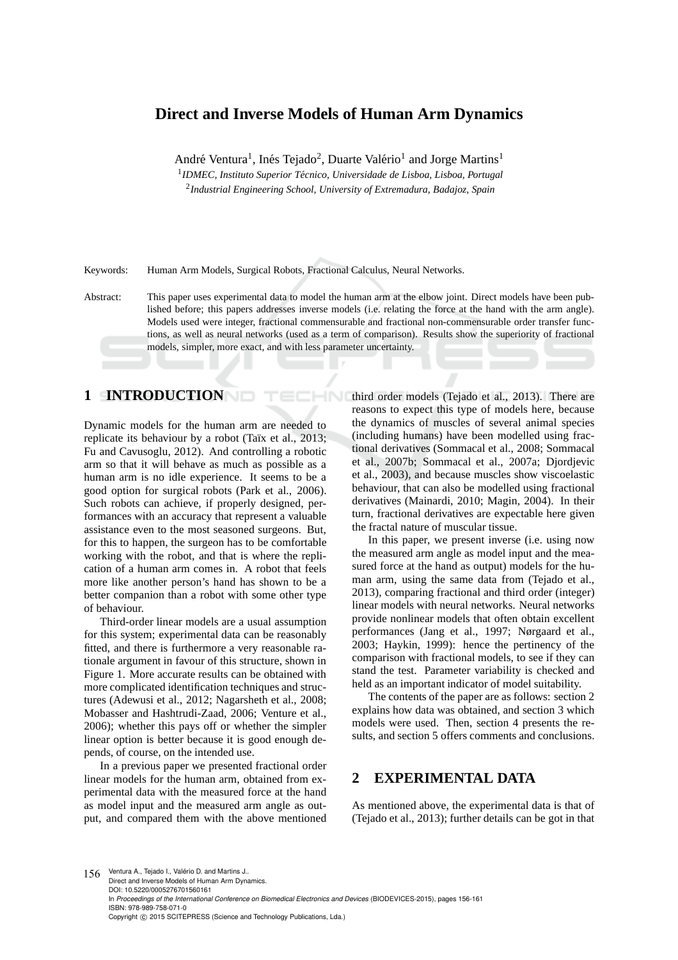## **Direct and Inverse Models of Human Arm Dynamics**

André Ventura<sup>1</sup>, Inés Tejado<sup>2</sup>, Duarte Valério<sup>1</sup> and Jorge Martins<sup>1</sup>

<sup>1</sup>IDMEC, Instituto Superior Técnico, Universidade de Lisboa, Lisboa, Portugal

2 *Industrial Engineering School, University of Extremadura, Badajoz, Spain*

Keywords: Human Arm Models, Surgical Robots, Fractional Calculus, Neural Networks.

Abstract: This paper uses experimental data to model the human arm at the elbow joint. Direct models have been published before; this papers addresses inverse models (i.e. relating the force at the hand with the arm angle). Models used were integer, fractional commensurable and fractional non-commensurable order transfer functions, as well as neural networks (used as a term of comparison). Results show the superiority of fractional models, simpler, more exact, and with less parameter uncertainty.

 $-N$ 

# **1 INTRODUCTION**

Dynamic models for the human arm are needed to replicate its behaviour by a robot (Taïx et al., 2013; Fu and Cavusoglu, 2012). And controlling a robotic arm so that it will behave as much as possible as a human arm is no idle experience. It seems to be a good option for surgical robots (Park et al., 2006). Such robots can achieve, if properly designed, performances with an accuracy that represent a valuable assistance even to the most seasoned surgeons. But, for this to happen, the surgeon has to be comfortable working with the robot, and that is where the replication of a human arm comes in. A robot that feels more like another person's hand has shown to be a better companion than a robot with some other type of behaviour.

Third-order linear models are a usual assumption for this system; experimental data can be reasonably fitted, and there is furthermore a very reasonable rationale argument in favour of this structure, shown in Figure 1. More accurate results can be obtained with more complicated identification techniques and structures (Adewusi et al., 2012; Nagarsheth et al., 2008; Mobasser and Hashtrudi-Zaad, 2006; Venture et al., 2006); whether this pays off or whether the simpler linear option is better because it is good enough depends, of course, on the intended use.

In a previous paper we presented fractional order linear models for the human arm, obtained from experimental data with the measured force at the hand as model input and the measured arm angle as output, and compared them with the above mentioned third order models (Tejado et al., 2013). There are reasons to expect this type of models here, because the dynamics of muscles of several animal species (including humans) have been modelled using fractional derivatives (Sommacal et al., 2008; Sommacal et al., 2007b; Sommacal et al., 2007a; Djordjevic et al., 2003), and because muscles show viscoelastic behaviour, that can also be modelled using fractional derivatives (Mainardi, 2010; Magin, 2004). In their turn, fractional derivatives are expectable here given the fractal nature of muscular tissue.

In this paper, we present inverse (i.e. using now the measured arm angle as model input and the measured force at the hand as output) models for the human arm, using the same data from (Tejado et al., 2013), comparing fractional and third order (integer) linear models with neural networks. Neural networks provide nonlinear models that often obtain excellent performances (Jang et al., 1997; Nørgaard et al., 2003; Haykin, 1999): hence the pertinency of the comparison with fractional models, to see if they can stand the test. Parameter variability is checked and held as an important indicator of model suitability.

The contents of the paper are as follows: section 2 explains how data was obtained, and section 3 which models were used. Then, section 4 presents the results, and section 5 offers comments and conclusions.

## **2 EXPERIMENTAL DATA**

As mentioned above, the experimental data is that of (Tejado et al., 2013); further details can be got in that

156 Ventura A., Tejado I., Valério D. and Martins J.. Direct and Inverse Models of Human Arm Dynamics. DOI: 10.5220/0005276701560161 In *Proceedings of the International Conference on Biomedical Electronics and Devices* (BIODEVICES-2015), pages 156-161 ISBN: 978-989-758-071-0 Copyright © 2015 SCITEPRESS (Science and Technology Publications, Lda.)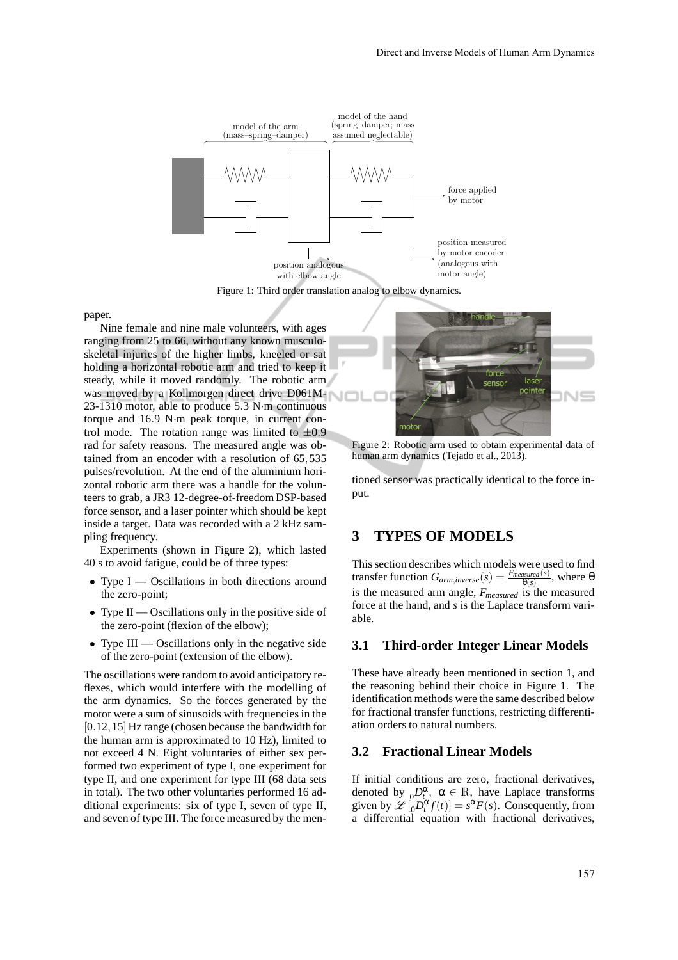

Figure 1: Third order translation analog to elbow dynamics.

paper.

Nine female and nine male volunteers, with ages ranging from 25 to 66, without any known musculoskeletal injuries of the higher limbs, kneeled or sat holding a horizontal robotic arm and tried to keep it steady, while it moved randomly. The robotic arm was moved by a Kollmorgen direct drive D061M-23-1310 motor, able to produce 5.3 N·m continuous torque and 16.9 N·m peak torque, in current control mode. The rotation range was limited to  $\pm 0.9$ rad for safety reasons. The measured angle was obtained from an encoder with a resolution of 65,535 pulses/revolution. At the end of the aluminium horizontal robotic arm there was a handle for the volunteers to grab, a JR3 12-degree-of-freedom DSP-based force sensor, and a laser pointer which should be kept inside a target. Data was recorded with a 2 kHz sampling frequency.

Experiments (shown in Figure 2), which lasted 40 s to avoid fatigue, could be of three types:

- Type I Oscillations in both directions around the zero-point;
- Type  $II$  Oscillations only in the positive side of the zero-point (flexion of the elbow);
- Type  $III$  Oscillations only in the negative side of the zero-point (extension of the elbow).

The oscillations were random to avoid anticipatory reflexes, which would interfere with the modelling of the arm dynamics. So the forces generated by the motor were a sum of sinusoids with frequencies in the [0.12,15] Hz range (chosen because the bandwidth for the human arm is approximated to 10 Hz), limited to not exceed 4 N. Eight voluntaries of either sex performed two experiment of type I, one experiment for type II, and one experiment for type III (68 data sets in total). The two other voluntaries performed 16 additional experiments: six of type I, seven of type II, and seven of type III. The force measured by the men-



Figure 2: Robotic arm used to obtain experimental data of human arm dynamics (Tejado et al., 2013).

tioned sensor was practically identical to the force input.

## **3 TYPES OF MODELS**

This section describes which models were used to find transfer function  $G_{arm,inverse}(s) = \frac{F_{measured}(s)}{\Theta(s)}$ , where  $\Theta$ is the measured arm angle, *Fmeasured* is the measured force at the hand, and *s* is the Laplace transform variable.

#### **3.1 Third-order Integer Linear Models**

These have already been mentioned in section 1, and the reasoning behind their choice in Figure 1. The identification methods were the same described below for fractional transfer functions, restricting differentiation orders to natural numbers.

#### **3.2 Fractional Linear Models**

If initial conditions are zero, fractional derivatives, denoted by  ${}_{0}D_{t}^{\alpha}$ ,  $\alpha \in \mathbb{R}$ , have Laplace transforms given by  $\mathscr{L}[\stackrel{\circ}{0}D_t^{\alpha}f(t)] = s^{\alpha}F(s)$ . Consequently, from a differential equation with fractional derivatives,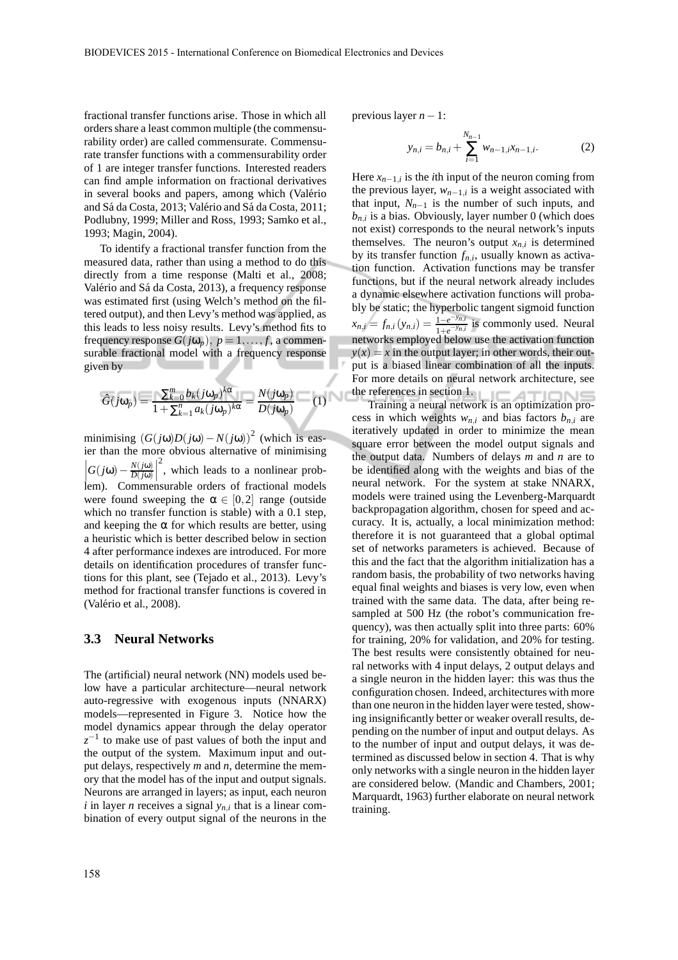fractional transfer functions arise. Those in which all orders share a least common multiple (the commensurability order) are called commensurate. Commensurate transfer functions with a commensurability order of 1 are integer transfer functions. Interested readers can find ample information on fractional derivatives in several books and papers, among which (Valério and Sá da Costa, 2013; Valério and Sá da Costa, 2011; Podlubny, 1999; Miller and Ross, 1993; Samko et al., 1993; Magin, 2004).

To identify a fractional transfer function from the measured data, rather than using a method to do this directly from a time response (Malti et al., 2008; Valério and Sá da Costa, 2013), a frequency response was estimated first (using Welch's method on the filtered output), and then Levy's method was applied, as this leads to less noisy results. Levy's method fits to frequency response  $G(j\omega_p)$ ,  $p = 1, ..., f$ , a commensurable fractional model with a frequency response given by

$$
\hat{G}(j\omega_p) = \frac{\sum_{k=0}^{m} b_k (j\omega_p)^{k\alpha}}{1 + \sum_{k=1}^{n} a_k (j\omega_p)^{k\alpha}} = \frac{N(j\omega_p)}{D(j\omega_p)} \qquad (1)
$$

minimising  $(G(j\omega)D(j\omega) - N(j\omega))^2$  (which is easier than the more obvious alternative of minimising  $G(j\omega)-\frac{N(j\omega)}{D(j\omega)}$  $\frac{N(j\omega)}{D(j\omega)}\Bigg|$ 2 , which leads to a nonlinear problem). Commensurable orders of fractional models were found sweeping the  $\alpha \in [0,2]$  range (outside which no transfer function is stable) with a 0.1 step, and keeping the  $\alpha$  for which results are better, using a heuristic which is better described below in section 4 after performance indexes are introduced. For more details on identification procedures of transfer functions for this plant, see (Tejado et al., 2013). Levy's method for fractional transfer functions is covered in (Valério et al., 2008).

#### **3.3 Neural Networks**

The (artificial) neural network (NN) models used below have a particular architecture—neural network auto-regressive with exogenous inputs (NNARX) models—represented in Figure 3. Notice how the model dynamics appear through the delay operator *z*<sup>−1</sup> to make use of past values of both the input and the output of the system. Maximum input and output delays, respectively *m* and *n*, determine the memory that the model has of the input and output signals. Neurons are arranged in layers; as input, each neuron *i* in layer *n* receives a signal  $y_{n,i}$  that is a linear combination of every output signal of the neurons in the previous layer *n*−1:

NI

$$
y_{n,i} = b_{n,i} + \sum_{i=1}^{N_{n-1}} w_{n-1,i} x_{n-1,i}.
$$
 (2)

Here  $x_{n-1,i}$  is the *i*th input of the neuron coming from the previous layer,  $w_{n-1,i}$  is a weight associated with that input,  $N_{n-1}$  is the number of such inputs, and  $b_{n,i}$  is a bias. Obviously, layer number 0 (which does not exist) corresponds to the neural network's inputs themselves. The neuron's output  $x_{n,i}$  is determined by its transfer function  $f_{n,i}$ , usually known as activation function. Activation functions may be transfer functions, but if the neural network already includes a dynamic elsewhere activation functions will probably be static; the hyperbolic tangent sigmoid function  $x_{n,i} = f_{n,i}(y_{n,i}) = \frac{1 - e^{-y_{n,i}}}{1 + e^{-y_{n,i}}}$  $\frac{1-e^{-\lambda}n_i}{1+e^{-\lambda}n_i}$  is commonly used. Neural networks employed below use the activation function  $y(x) = x$  in the output layer; in other words, their output is a biased linear combination of all the inputs. For more details on neural network architecture, see the references in section 1. - 4

references in section 1.<br>Training a neural network is an optimization process in which weights  $w_{n,i}$  and bias factors  $b_{n,i}$  are iteratively updated in order to minimize the mean square error between the model output signals and the output data. Numbers of delays *m* and *n* are to be identified along with the weights and bias of the neural network. For the system at stake NNARX, models were trained using the Levenberg-Marquardt backpropagation algorithm, chosen for speed and accuracy. It is, actually, a local minimization method: therefore it is not guaranteed that a global optimal set of networks parameters is achieved. Because of this and the fact that the algorithm initialization has a random basis, the probability of two networks having equal final weights and biases is very low, even when trained with the same data. The data, after being resampled at 500 Hz (the robot's communication frequency), was then actually split into three parts: 60% for training, 20% for validation, and 20% for testing. The best results were consistently obtained for neural networks with 4 input delays, 2 output delays and a single neuron in the hidden layer: this was thus the configuration chosen. Indeed, architectures with more than one neuron in the hidden layer were tested, showing insignificantly better or weaker overall results, depending on the number of input and output delays. As to the number of input and output delays, it was determined as discussed below in section 4. That is why only networks with a single neuron in the hidden layer are considered below. (Mandic and Chambers, 2001; Marquardt, 1963) further elaborate on neural network training.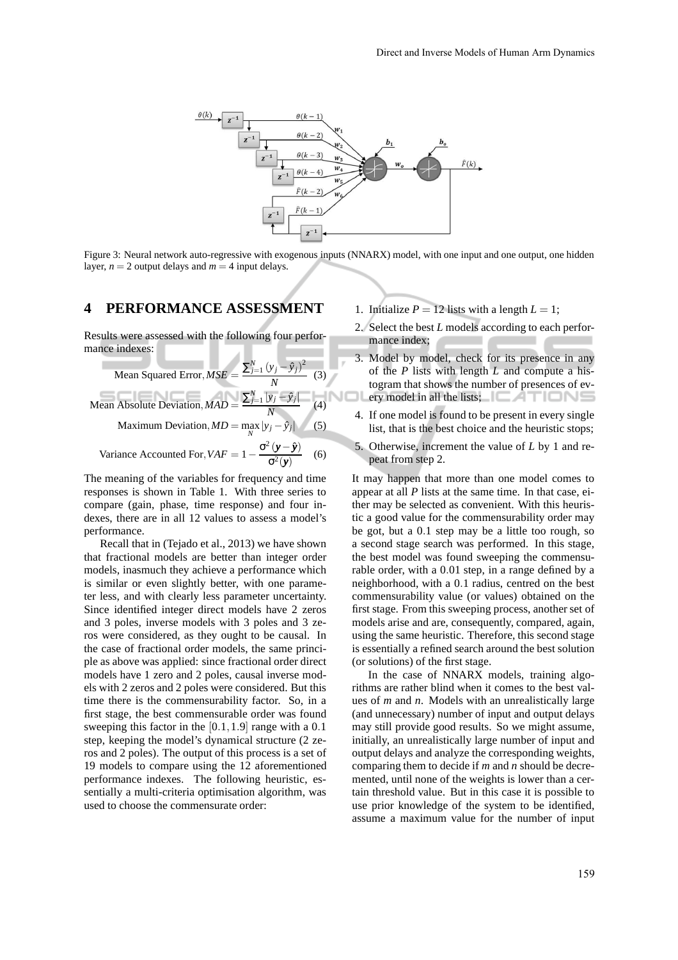

Figure 3: Neural network auto-regressive with exogenous inputs (NNARX) model, with one input and one output, one hidden layer,  $n = 2$  output delays and  $m = 4$  input delays.

### **4 PERFORMANCE ASSESSMENT**

Results were assessed with the following four performance indexes:

Mean Squared Error, 
$$
MSE = \frac{\sum_{j=1}^{N} (y_j - \hat{y}_j)^2}{N}
$$
 (3)  
\nMean Absolute Deviation,  $MAP = \frac{\sum_{j=1}^{N} |y_j - \hat{y}_j|}{N}$  (4)  
\nMaximum Deviation,  $MD = \max_{N} |y_j - \hat{y}_j|$  (5)  
\nVariance Accounted For,  $VAF = 1 - \frac{\sigma^2 (y - \hat{y})}{\sigma^2 (y)}$  (6)

The meaning of the variables for frequency and time responses is shown in Table 1. With three series to compare (gain, phase, time response) and four indexes, there are in all 12 values to assess a model's performance.

Recall that in (Tejado et al., 2013) we have shown that fractional models are better than integer order models, inasmuch they achieve a performance which is similar or even slightly better, with one parameter less, and with clearly less parameter uncertainty. Since identified integer direct models have 2 zeros and 3 poles, inverse models with 3 poles and 3 zeros were considered, as they ought to be causal. In the case of fractional order models, the same principle as above was applied: since fractional order direct models have 1 zero and 2 poles, causal inverse models with 2 zeros and 2 poles were considered. But this time there is the commensurability factor. So, in a first stage, the best commensurable order was found sweeping this factor in the [0.1,1.9] range with a 0.1 step, keeping the model's dynamical structure (2 zeros and 2 poles). The output of this process is a set of 19 models to compare using the 12 aforementioned performance indexes. The following heuristic, essentially a multi-criteria optimisation algorithm, was used to choose the commensurate order:

- 1. Initialize  $P = 12$  lists with a length  $L = 1$ ;
- 2. Select the best *L* models according to each performance index;
- 3. Model by model, check for its presence in any of the *P* lists with length *L* and compute a histogram that shows the number of presences of every model in all the lists;  $\square$   $\square$   $\square$   $\square$   $\square$
- 4. If one model is found to be present in every single list, that is the best choice and the heuristic stops;
- 5. Otherwise, increment the value of *L* by 1 and repeat from step 2.

It may happen that more than one model comes to appear at all *P* lists at the same time. In that case, either may be selected as convenient. With this heuristic a good value for the commensurability order may be got, but a 0.1 step may be a little too rough, so a second stage search was performed. In this stage, the best model was found sweeping the commensurable order, with a 0.01 step, in a range defined by a neighborhood, with a 0.1 radius, centred on the best commensurability value (or values) obtained on the first stage. From this sweeping process, another set of models arise and are, consequently, compared, again, using the same heuristic. Therefore, this second stage is essentially a refined search around the best solution (or solutions) of the first stage.

In the case of NNARX models, training algorithms are rather blind when it comes to the best values of *m* and *n*. Models with an unrealistically large (and unnecessary) number of input and output delays may still provide good results. So we might assume, initially, an unrealistically large number of input and output delays and analyze the corresponding weights, comparing them to decide if *m* and *n* should be decremented, until none of the weights is lower than a certain threshold value. But in this case it is possible to use prior knowledge of the system to be identified, assume a maximum value for the number of input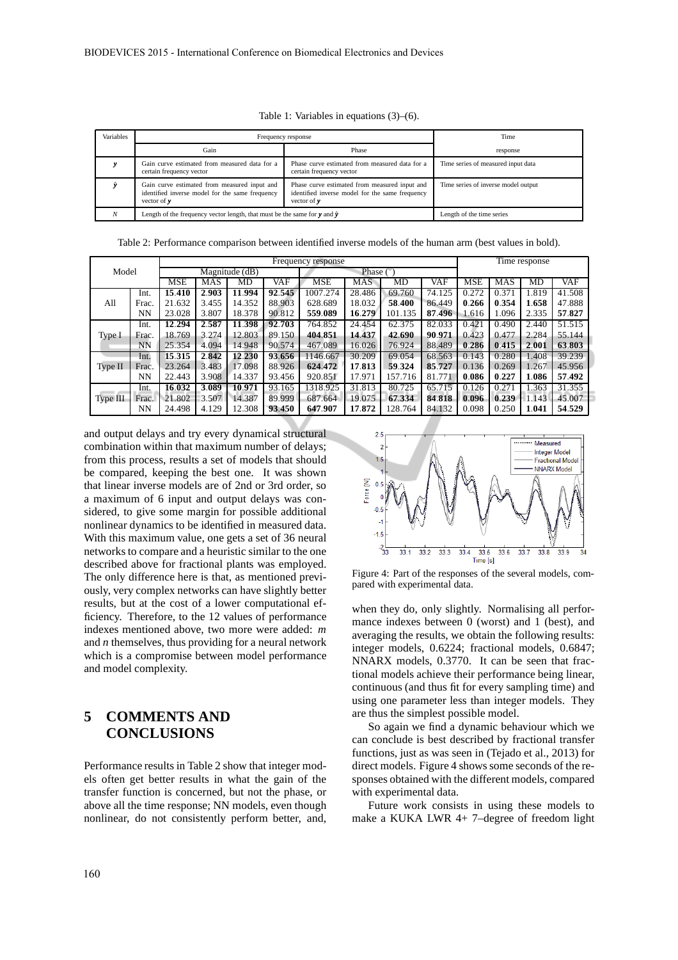Table 1: Variables in equations (3)–(6).

| Variables | Frequency response                                                                                                 | Time                                                                                                                       |                                     |  |  |
|-----------|--------------------------------------------------------------------------------------------------------------------|----------------------------------------------------------------------------------------------------------------------------|-------------------------------------|--|--|
|           | Gain                                                                                                               | Phase                                                                                                                      | response                            |  |  |
|           | Gain curve estimated from measured data for a<br>certain frequency vector                                          | Phase curve estimated from measured data for a<br>certain frequency vector                                                 | Time series of measured input data  |  |  |
|           | Gain curve estimated from measured input and<br>identified inverse model for the same frequency<br>vector of $\nu$ | Phase curve estimated from measured input and<br>identified inverse model for the same frequency<br>vector of $\mathbf{v}$ | Time series of inverse model output |  |  |
|           | Length of the frequency vector length, that must be the same for $y$ and $\hat{y}$                                 | Length of the time series                                                                                                  |                                     |  |  |

Table 2: Performance comparison between identified inverse models of the human arm (best values in bold).

| Model           |       | Frequency response |       |        |             |            |        |         | Time response |            |            |       |        |
|-----------------|-------|--------------------|-------|--------|-------------|------------|--------|---------|---------------|------------|------------|-------|--------|
|                 |       | Magnitude (dB)     |       |        | Phase $(°)$ |            |        |         |               |            |            |       |        |
|                 |       | <b>MSE</b>         | MAS   | MD     | VAF         | <b>MSE</b> | MAS    | MD      | VAF           | <b>MSE</b> | <b>MAS</b> | MD    | VAF    |
| All             | Int.  | 15.410             | 2.903 | 11.994 | 92.545      | 1007.274   | 28.486 | 69.760  | 74.125        | 0.272      | 0.371      | 1.819 | 41.508 |
|                 | Frac. | 21.632             | 3.455 | 14.352 | 88.903      | 628.689    | 18.032 | 58.400  | 86.449        | 0.266      | 0.354      | 1.658 | 47.888 |
|                 | NN    | 23.028             | 3.807 | 18.378 | 90.812      | 559.089    | 16.279 | 101.135 | 87.496        | 1.616      | 1.096      | 2.335 | 57.827 |
| Type I          | Int.  | 12.294             | 2.587 | 11.398 | 92.703      | 764.852    | 24.454 | 62.375  | 82.033        | 0.421      | 0.490      | 2.440 | 51.515 |
|                 | Frac. | 18.769             | 3.274 | 12.803 | 89.150      | 404.851    | 14.437 | 42.690  | 90.971        | 0.423      | 0.477      | 2.284 | 55.144 |
|                 | NΝ    | 25.354             | 4.094 | 14.948 | 90.574      | 467.089    | 16.026 | 76.924  | 88.489        | 0.286      | 0.415      | 2.001 | 63.803 |
| Type II         | Int.  | 15.315             | 2.842 | 12.230 | 93.656      | 1146.667   | 30.209 | 69.054  | 68.563        | 0.143      | 0.280      | 1.408 | 39.239 |
|                 | Frac. | 23.264             | 3.483 | 17.098 | 88.926      | 624.472    | 17.813 | 59.324  | 85.727        | 0.136      | 0.269      | 1.267 | 45.956 |
|                 | NN    | 22.443             | 3.908 | 14.337 | 93.456      | 920.851    | 17.971 | 157.716 | 81.771        | 0.086      | 0.227      | 1.086 | 57.492 |
| <b>Type III</b> | Int.  | 16.032             | 3.089 | 10.971 | 93.165      | 1318.925   | 31.813 | 80.725  | 65.715        | 0.126      | 0.271      | 1.363 | 31.355 |
|                 | Frac. | 21.802             | 3.507 | 14.387 | 89.999      | 687.664    | 19.075 | 67.334  | 84.818        | 0.096      | 0.239      | 1.143 | 45.007 |
|                 | NN    | 24.498             | 4.129 | 12.308 | 93.450      | 647.907    | 17.872 | 128.764 | 84.132        | 0.098      | 0.250      | 1.041 | 54.529 |

and output delays and try every dynamical structural combination within that maximum number of delays; from this process, results a set of models that should be compared, keeping the best one. It was shown that linear inverse models are of 2nd or 3rd order, so a maximum of 6 input and output delays was considered, to give some margin for possible additional nonlinear dynamics to be identified in measured data. With this maximum value, one gets a set of 36 neural networks to compare and a heuristic similar to the one described above for fractional plants was employed. The only difference here is that, as mentioned previously, very complex networks can have slightly better results, but at the cost of a lower computational efficiency. Therefore, to the 12 values of performance indexes mentioned above, two more were added: *m* and *n* themselves, thus providing for a neural network which is a compromise between model performance and model complexity.

# **5 COMMENTS AND CONCLUSIONS**

Performance results in Table 2 show that integer models often get better results in what the gain of the transfer function is concerned, but not the phase, or above all the time response; NN models, even though nonlinear, do not consistently perform better, and,



Figure 4: Part of the responses of the several models, compared with experimental data.

when they do, only slightly. Normalising all performance indexes between 0 (worst) and 1 (best), and averaging the results, we obtain the following results: integer models, 0.6224; fractional models, 0.6847; NNARX models, 0.3770. It can be seen that fractional models achieve their performance being linear, continuous (and thus fit for every sampling time) and using one parameter less than integer models. They are thus the simplest possible model.

So again we find a dynamic behaviour which we can conclude is best described by fractional transfer functions, just as was seen in (Tejado et al., 2013) for direct models. Figure 4 shows some seconds of the responses obtained with the different models, compared with experimental data.

Future work consists in using these models to make a KUKA LWR 4+ 7–degree of freedom light